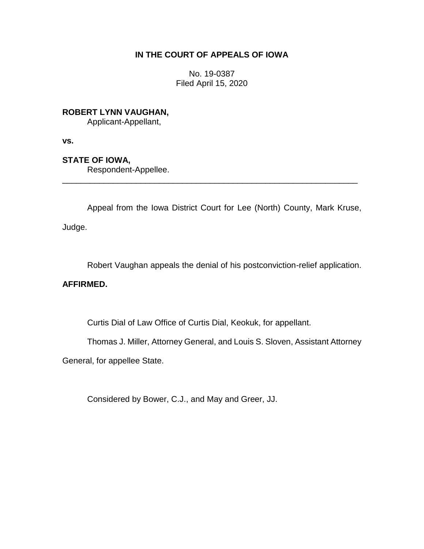## **IN THE COURT OF APPEALS OF IOWA**

No. 19-0387 Filed April 15, 2020

**ROBERT LYNN VAUGHAN,**

Applicant-Appellant,

**vs.**

**STATE OF IOWA,**

Respondent-Appellee.

Appeal from the Iowa District Court for Lee (North) County, Mark Kruse,

\_\_\_\_\_\_\_\_\_\_\_\_\_\_\_\_\_\_\_\_\_\_\_\_\_\_\_\_\_\_\_\_\_\_\_\_\_\_\_\_\_\_\_\_\_\_\_\_\_\_\_\_\_\_\_\_\_\_\_\_\_\_\_\_

Judge.

Robert Vaughan appeals the denial of his postconviction-relief application.

## **AFFIRMED.**

Curtis Dial of Law Office of Curtis Dial, Keokuk, for appellant.

Thomas J. Miller, Attorney General, and Louis S. Sloven, Assistant Attorney

General, for appellee State.

Considered by Bower, C.J., and May and Greer, JJ.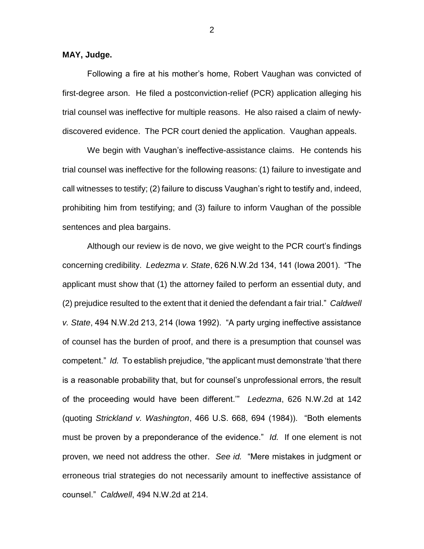**MAY, Judge.**

Following a fire at his mother's home, Robert Vaughan was convicted of first-degree arson. He filed a postconviction-relief (PCR) application alleging his trial counsel was ineffective for multiple reasons. He also raised a claim of newlydiscovered evidence. The PCR court denied the application. Vaughan appeals.

We begin with Vaughan's ineffective-assistance claims. He contends his trial counsel was ineffective for the following reasons: (1) failure to investigate and call witnesses to testify; (2) failure to discuss Vaughan's right to testify and, indeed, prohibiting him from testifying; and (3) failure to inform Vaughan of the possible sentences and plea bargains.

Although our review is de novo, we give weight to the PCR court's findings concerning credibility. *Ledezma v. State*, 626 N.W.2d 134, 141 (Iowa 2001). "The applicant must show that (1) the attorney failed to perform an essential duty, and (2) prejudice resulted to the extent that it denied the defendant a fair trial." *Caldwell v. State*, 494 N.W.2d 213, 214 (Iowa 1992). "A party urging ineffective assistance of counsel has the burden of proof, and there is a presumption that counsel was competent." *Id.* To establish prejudice, "the applicant must demonstrate 'that there is a reasonable probability that, but for counsel's unprofessional errors, the result of the proceeding would have been different.'" *Ledezma*, 626 N.W.2d at 142 (quoting *Strickland v. Washington*, 466 U.S. 668, 694 (1984)). "Both elements must be proven by a preponderance of the evidence." *Id.* If one element is not proven, we need not address the other. *See id.* "Mere mistakes in judgment or erroneous trial strategies do not necessarily amount to ineffective assistance of counsel." *Caldwell*, 494 N.W.2d at 214.

2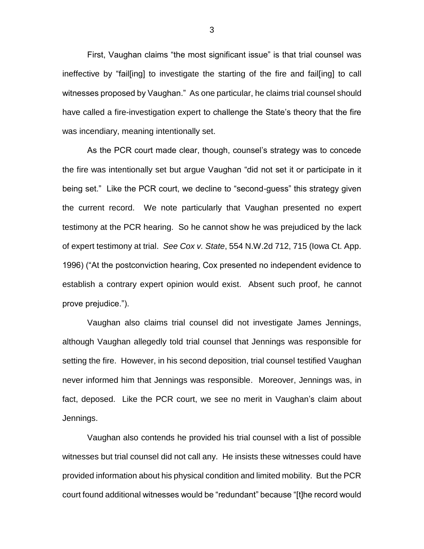First, Vaughan claims "the most significant issue" is that trial counsel was ineffective by "fail[ing] to investigate the starting of the fire and fail[ing] to call witnesses proposed by Vaughan." As one particular, he claims trial counsel should have called a fire-investigation expert to challenge the State's theory that the fire was incendiary, meaning intentionally set.

As the PCR court made clear, though, counsel's strategy was to concede the fire was intentionally set but argue Vaughan "did not set it or participate in it being set." Like the PCR court, we decline to "second-guess" this strategy given the current record. We note particularly that Vaughan presented no expert testimony at the PCR hearing. So he cannot show he was prejudiced by the lack of expert testimony at trial. *See Cox v. State*, 554 N.W.2d 712, 715 (Iowa Ct. App. 1996) ("At the postconviction hearing, Cox presented no independent evidence to establish a contrary expert opinion would exist. Absent such proof, he cannot prove prejudice.").

Vaughan also claims trial counsel did not investigate James Jennings, although Vaughan allegedly told trial counsel that Jennings was responsible for setting the fire. However, in his second deposition, trial counsel testified Vaughan never informed him that Jennings was responsible. Moreover, Jennings was, in fact, deposed. Like the PCR court, we see no merit in Vaughan's claim about Jennings.

Vaughan also contends he provided his trial counsel with a list of possible witnesses but trial counsel did not call any. He insists these witnesses could have provided information about his physical condition and limited mobility. But the PCR court found additional witnesses would be "redundant" because "[t]he record would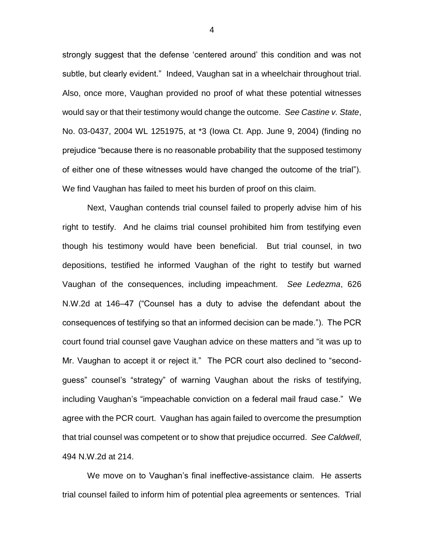strongly suggest that the defense 'centered around' this condition and was not subtle, but clearly evident." Indeed, Vaughan sat in a wheelchair throughout trial. Also, once more, Vaughan provided no proof of what these potential witnesses would say or that their testimony would change the outcome. *See Castine v. State*, No. 03-0437, 2004 WL 1251975, at \*3 (Iowa Ct. App. June 9, 2004) (finding no prejudice "because there is no reasonable probability that the supposed testimony of either one of these witnesses would have changed the outcome of the trial"). We find Vaughan has failed to meet his burden of proof on this claim.

Next, Vaughan contends trial counsel failed to properly advise him of his right to testify. And he claims trial counsel prohibited him from testifying even though his testimony would have been beneficial. But trial counsel, in two depositions, testified he informed Vaughan of the right to testify but warned Vaughan of the consequences, including impeachment. *See Ledezma*, 626 N.W.2d at 146–47 ("Counsel has a duty to advise the defendant about the consequences of testifying so that an informed decision can be made."). The PCR court found trial counsel gave Vaughan advice on these matters and "it was up to Mr. Vaughan to accept it or reject it." The PCR court also declined to "secondguess" counsel's "strategy" of warning Vaughan about the risks of testifying, including Vaughan's "impeachable conviction on a federal mail fraud case." We agree with the PCR court. Vaughan has again failed to overcome the presumption that trial counsel was competent or to show that prejudice occurred. *See Caldwell*, 494 N.W.2d at 214.

We move on to Vaughan's final ineffective-assistance claim. He asserts trial counsel failed to inform him of potential plea agreements or sentences. Trial

4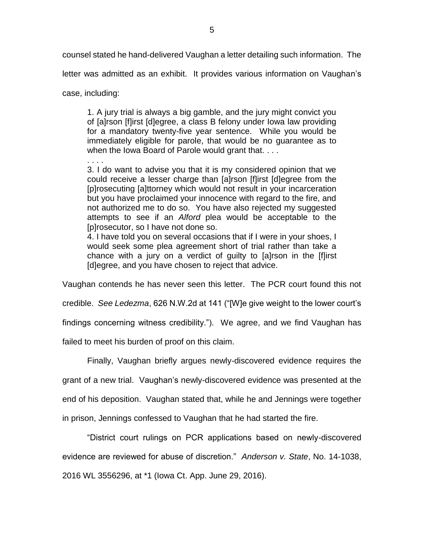counsel stated he hand-delivered Vaughan a letter detailing such information. The

letter was admitted as an exhibit. It provides various information on Vaughan's

case, including:

1. A jury trial is always a big gamble, and the jury might convict you of [a]rson [f]irst [d]egree, a class B felony under Iowa law providing for a mandatory twenty-five year sentence. While you would be immediately eligible for parole, that would be no guarantee as to when the Iowa Board of Parole would grant that. . . .

. . . .

3. I do want to advise you that it is my considered opinion that we could receive a lesser charge than [a]rson [f]irst [d]egree from the [p]rosecuting [a]ttorney which would not result in your incarceration but you have proclaimed your innocence with regard to the fire, and not authorized me to do so. You have also rejected my suggested attempts to see if an *Alford* plea would be acceptable to the [p]rosecutor, so I have not done so.

4. I have told you on several occasions that if I were in your shoes, I would seek some plea agreement short of trial rather than take a chance with a jury on a verdict of guilty to [a]rson in the [f]irst [d]egree, and you have chosen to reject that advice.

Vaughan contends he has never seen this letter. The PCR court found this not

credible. *See Ledezma*, 626 N.W.2d at 141 ("[W]e give weight to the lower court's

findings concerning witness credibility."). We agree, and we find Vaughan has

failed to meet his burden of proof on this claim.

Finally, Vaughan briefly argues newly-discovered evidence requires the grant of a new trial. Vaughan's newly-discovered evidence was presented at the end of his deposition. Vaughan stated that, while he and Jennings were together in prison, Jennings confessed to Vaughan that he had started the fire.

"District court rulings on PCR applications based on newly-discovered evidence are reviewed for abuse of discretion." *Anderson v. State*, No. 14-1038, 2016 WL 3556296, at \*1 (Iowa Ct. App. June 29, 2016).